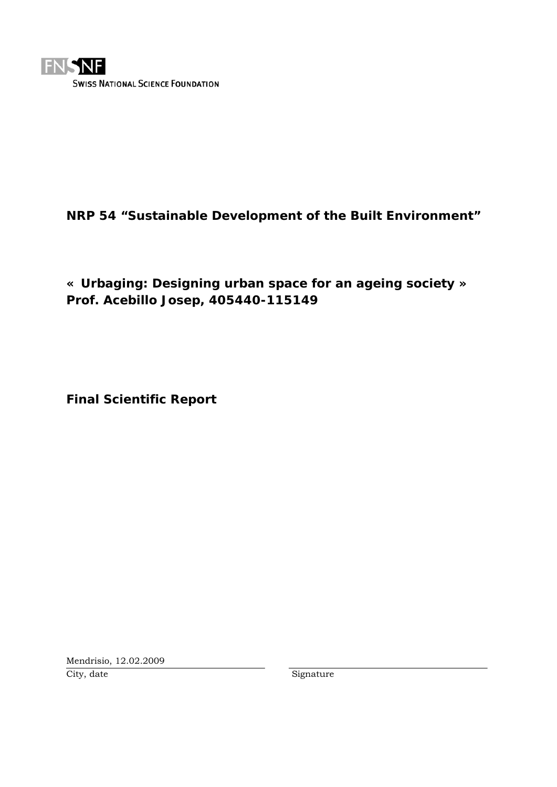

# **NRP 54 "Sustainable Development of the Built Environment"**

**« Urbaging: Designing urban space for an ageing society » Prof. Acebillo Josep, 405440-115149** 

**Final Scientific Report** 

Mendrisio, 12.02.2009 City, date Signature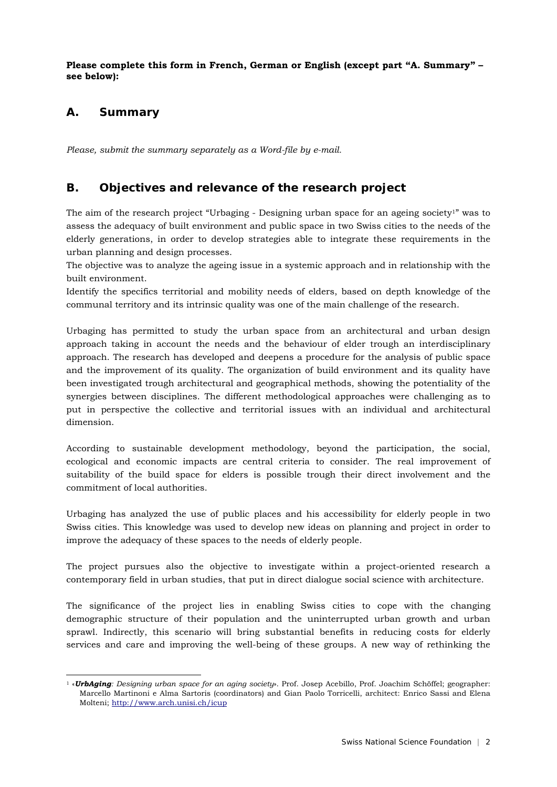**Please complete this form in French, German or English (except part "A. Summary" – see below):** 

# **A. Summary**

-

*Please, submit the summary separately as a Word-file by e-mail.* 

# **B. Objectives and relevance of the research project**

The aim of the research project "Urbaging - Designing urban space for an ageing society<sup>1</sup>" was to assess the adequacy of built environment and public space in two Swiss cities to the needs of the elderly generations, in order to develop strategies able to integrate these requirements in the urban planning and design processes.

The objective was to analyze the ageing issue in a systemic approach and in relationship with the built environment.

Identify the specifics territorial and mobility needs of elders, based on depth knowledge of the communal territory and its intrinsic quality was one of the main challenge of the research.

Urbaging has permitted to study the urban space from an architectural and urban design approach taking in account the needs and the behaviour of elder trough an interdisciplinary approach. The research has developed and deepens a procedure for the analysis of public space and the improvement of its quality. The organization of build environment and its quality have been investigated trough architectural and geographical methods, showing the potentiality of the synergies between disciplines. The different methodological approaches were challenging as to put in perspective the collective and territorial issues with an individual and architectural dimension.

According to sustainable development methodology, beyond the participation, the social, ecological and economic impacts are central criteria to consider. The real improvement of suitability of the build space for elders is possible trough their direct involvement and the commitment of local authorities.

Urbaging has analyzed the use of public places and his accessibility for elderly people in two Swiss cities. This knowledge was used to develop new ideas on planning and project in order to improve the adequacy of these spaces to the needs of elderly people.

The project pursues also the objective to investigate within a project-oriented research a contemporary field in urban studies, that put in direct dialogue social science with architecture.

The significance of the project lies in enabling Swiss cities to cope with the changing demographic structure of their population and the uninterrupted urban growth and urban sprawl. Indirectly, this scenario will bring substantial benefits in reducing costs for elderly services and care and improving the well-being of these groups. A new way of rethinking the

<sup>1 «</sup>*UrbAging: Designing urban space for an aging society*». Prof. Josep Acebillo, Prof. Joachim Schöffel; geographer: Marcello Martinoni e Alma Sartoris (coordinators) and Gian Paolo Torricelli, architect: Enrico Sassi and Elena Molteni; http://www.arch.unisi.ch/icup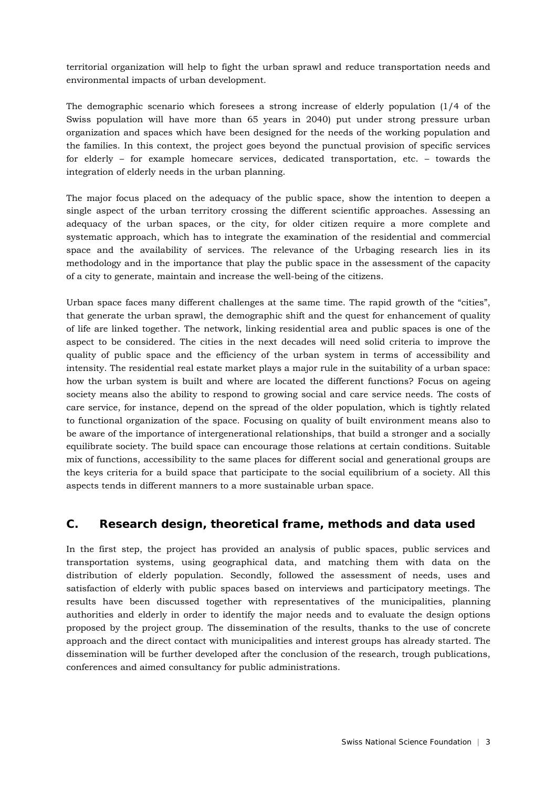territorial organization will help to fight the urban sprawl and reduce transportation needs and environmental impacts of urban development.

The demographic scenario which foresees a strong increase of elderly population  $(1/4)$  of the Swiss population will have more than 65 years in 2040) put under strong pressure urban organization and spaces which have been designed for the needs of the working population and the families. In this context, the project goes beyond the punctual provision of specific services for elderly – for example homecare services, dedicated transportation, etc. – towards the integration of elderly needs in the urban planning.

The major focus placed on the adequacy of the public space, show the intention to deepen a single aspect of the urban territory crossing the different scientific approaches. Assessing an adequacy of the urban spaces, or the city, for older citizen require a more complete and systematic approach, which has to integrate the examination of the residential and commercial space and the availability of services. The relevance of the Urbaging research lies in its methodology and in the importance that play the public space in the assessment of the capacity of a city to generate, maintain and increase the well-being of the citizens.

Urban space faces many different challenges at the same time. The rapid growth of the "cities", that generate the urban sprawl, the demographic shift and the quest for enhancement of quality of life are linked together. The network, linking residential area and public spaces is one of the aspect to be considered. The cities in the next decades will need solid criteria to improve the quality of public space and the efficiency of the urban system in terms of accessibility and intensity. The residential real estate market plays a major rule in the suitability of a urban space: how the urban system is built and where are located the different functions? Focus on ageing society means also the ability to respond to growing social and care service needs. The costs of care service, for instance, depend on the spread of the older population, which is tightly related to functional organization of the space. Focusing on quality of built environment means also to be aware of the importance of intergenerational relationships, that build a stronger and a socially equilibrate society. The build space can encourage those relations at certain conditions. Suitable mix of functions, accessibility to the same places for different social and generational groups are the keys criteria for a build space that participate to the social equilibrium of a society. All this aspects tends in different manners to a more sustainable urban space.

## **C. Research design, theoretical frame, methods and data used**

In the first step, the project has provided an analysis of public spaces, public services and transportation systems, using geographical data, and matching them with data on the distribution of elderly population. Secondly, followed the assessment of needs, uses and satisfaction of elderly with public spaces based on interviews and participatory meetings. The results have been discussed together with representatives of the municipalities, planning authorities and elderly in order to identify the major needs and to evaluate the design options proposed by the project group. The dissemination of the results, thanks to the use of concrete approach and the direct contact with municipalities and interest groups has already started. The dissemination will be further developed after the conclusion of the research, trough publications, conferences and aimed consultancy for public administrations.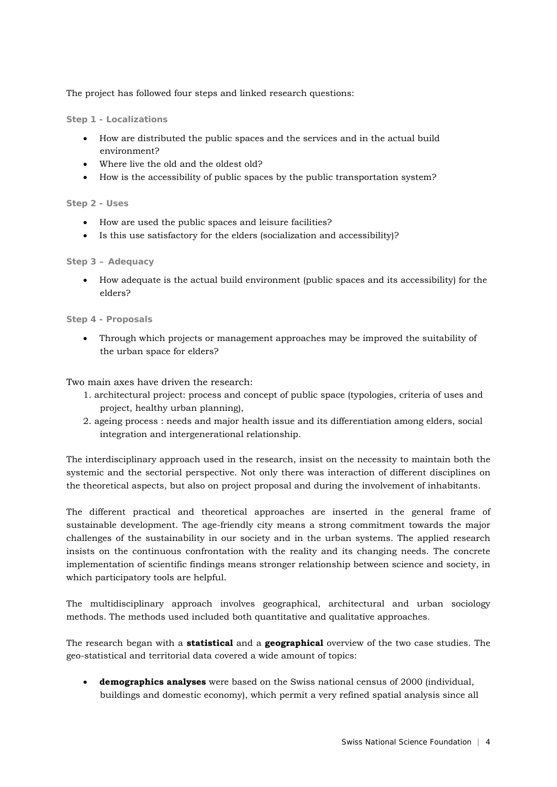The project has followed four steps and linked research questions:

**Step 1 - Localizations** 

- How are distributed the public spaces and the services and in the actual build environment?
- Where live the old and the oldest old?
- How is the accessibility of public spaces by the public transportation system?

## **Step 2 - Uses**

- How are used the public spaces and leisure facilities?
- Is this use satisfactory for the elders (socialization and accessibility)?

## **Step 3 – Adequacy**

• How adequate is the actual build environment (public spaces and its accessibility) for the elders?

## **Step 4 - Proposals**

• Through which projects or management approaches may be improved the suitability of the urban space for elders?

Two main axes have driven the research:

- 1. architectural project: process and concept of public space (typologies, criteria of uses and project, healthy urban planning),
- 2. ageing process : needs and major health issue and its differentiation among elders, social integration and intergenerational relationship.

The interdisciplinary approach used in the research, insist on the necessity to maintain both the systemic and the sectorial perspective. Not only there was interaction of different disciplines on the theoretical aspects, but also on project proposal and during the involvement of inhabitants.

The different practical and theoretical approaches are inserted in the general frame of sustainable development. The age-friendly city means a strong commitment towards the major challenges of the sustainability in our society and in the urban systems. The applied research insists on the continuous confrontation with the reality and its changing needs. The concrete implementation of scientific findings means stronger relationship between science and society, in which participatory tools are helpful.

The multidisciplinary approach involves geographical, architectural and urban sociology methods. The methods used included both quantitative and qualitative approaches.

The research began with a **statistical** and a **geographical** overview of the two case studies. The geo-statistical and territorial data covered a wide amount of topics:

• **demographics analyses** were based on the Swiss national census of 2000 (individual, buildings and domestic economy), which permit a very refined spatial analysis since all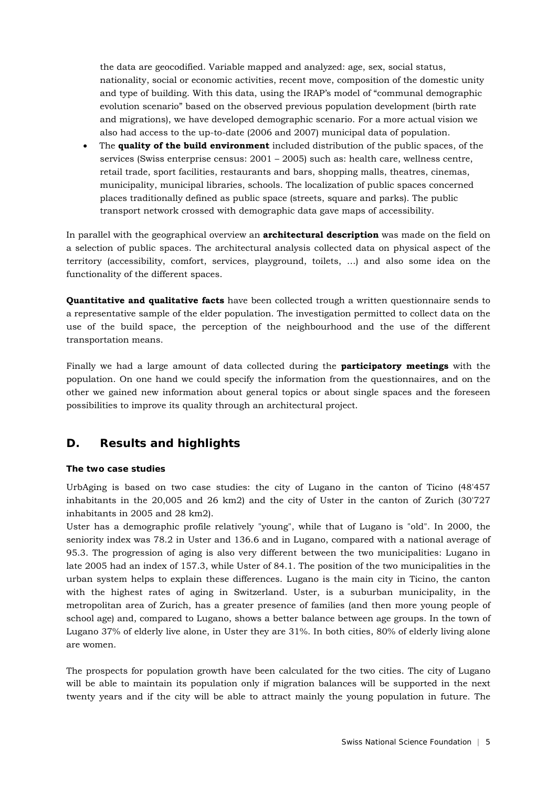the data are geocodified. Variable mapped and analyzed: age, sex, social status, nationality, social or economic activities, recent move, composition of the domestic unity and type of building. With this data, using the IRAP's model of "communal demographic evolution scenario" based on the observed previous population development (birth rate and migrations), we have developed demographic scenario. For a more actual vision we also had access to the up-to-date (2006 and 2007) municipal data of population.

• The **quality of the build environment** included distribution of the public spaces, of the services (Swiss enterprise census: 2001 – 2005) such as: health care, wellness centre, retail trade, sport facilities, restaurants and bars, shopping malls, theatres, cinemas, municipality, municipal libraries, schools. The localization of public spaces concerned places traditionally defined as public space (streets, square and parks). The public transport network crossed with demographic data gave maps of accessibility.

In parallel with the geographical overview an **architectural description** was made on the field on a selection of public spaces. The architectural analysis collected data on physical aspect of the territory (accessibility, comfort, services, playground, toilets, …) and also some idea on the functionality of the different spaces.

**Quantitative and qualitative facts** have been collected trough a written questionnaire sends to a representative sample of the elder population. The investigation permitted to collect data on the use of the build space, the perception of the neighbourhood and the use of the different transportation means.

Finally we had a large amount of data collected during the **participatory meetings** with the population. On one hand we could specify the information from the questionnaires, and on the other we gained new information about general topics or about single spaces and the foreseen possibilities to improve its quality through an architectural project.

# **D. Results and highlights**

## **The two case studies**

UrbAging is based on two case studies: the city of Lugano in the canton of Ticino (48'457 inhabitants in the 20,005 and 26 km2) and the city of Uster in the canton of Zurich (30'727 inhabitants in 2005 and 28 km2).

Uster has a demographic profile relatively "young", while that of Lugano is "old". In 2000, the seniority index was 78.2 in Uster and 136.6 and in Lugano, compared with a national average of 95.3. The progression of aging is also very different between the two municipalities: Lugano in late 2005 had an index of 157.3, while Uster of 84.1. The position of the two municipalities in the urban system helps to explain these differences. Lugano is the main city in Ticino, the canton with the highest rates of aging in Switzerland. Uster, is a suburban municipality, in the metropolitan area of Zurich, has a greater presence of families (and then more young people of school age) and, compared to Lugano, shows a better balance between age groups. In the town of Lugano 37% of elderly live alone, in Uster they are 31%. In both cities, 80% of elderly living alone are women.

The prospects for population growth have been calculated for the two cities. The city of Lugano will be able to maintain its population only if migration balances will be supported in the next twenty years and if the city will be able to attract mainly the young population in future. The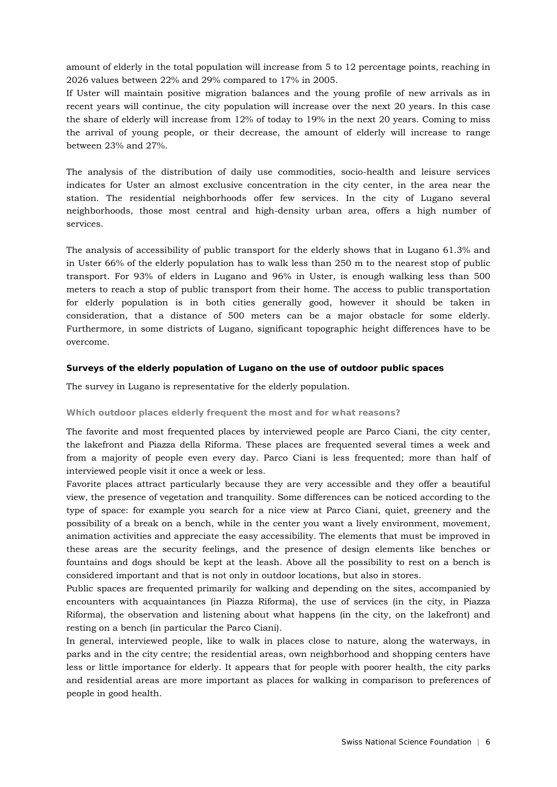amount of elderly in the total population will increase from 5 to 12 percentage points, reaching in 2026 values between 22% and 29% compared to 17% in 2005.

If Uster will maintain positive migration balances and the young profile of new arrivals as in recent years will continue, the city population will increase over the next 20 years. In this case the share of elderly will increase from 12% of today to 19% in the next 20 years. Coming to miss the arrival of young people, or their decrease, the amount of elderly will increase to range between 23% and 27%.

The analysis of the distribution of daily use commodities, socio-health and leisure services indicates for Uster an almost exclusive concentration in the city center, in the area near the station. The residential neighborhoods offer few services. In the city of Lugano several neighborhoods, those most central and high-density urban area, offers a high number of services.

The analysis of accessibility of public transport for the elderly shows that in Lugano 61.3% and in Uster 66% of the elderly population has to walk less than 250 m to the nearest stop of public transport. For 93% of elders in Lugano and 96% in Uster, is enough walking less than 500 meters to reach a stop of public transport from their home. The access to public transportation for elderly population is in both cities generally good, however it should be taken in consideration, that a distance of 500 meters can be a major obstacle for some elderly. Furthermore, in some districts of Lugano, significant topographic height differences have to be overcome.

#### **Surveys of the elderly population of Lugano on the use of outdoor public spaces**

The survey in Lugano is representative for the elderly population.

#### **Which outdoor places elderly frequent the most and for what reasons?**

The favorite and most frequented places by interviewed people are Parco Ciani, the city center, the lakefront and Piazza della Riforma. These places are frequented several times a week and from a majority of people even every day. Parco Ciani is less frequented; more than half of interviewed people visit it once a week or less.

Favorite places attract particularly because they are very accessible and they offer a beautiful view, the presence of vegetation and tranquility. Some differences can be noticed according to the type of space: for example you search for a nice view at Parco Ciani, quiet, greenery and the possibility of a break on a bench, while in the center you want a lively environment, movement, animation activities and appreciate the easy accessibility. The elements that must be improved in these areas are the security feelings, and the presence of design elements like benches or fountains and dogs should be kept at the leash. Above all the possibility to rest on a bench is considered important and that is not only in outdoor locations, but also in stores.

Public spaces are frequented primarily for walking and depending on the sites, accompanied by encounters with acquaintances (in Piazza Riforma), the use of services (in the city, in Piazza Riforma), the observation and listening about what happens (in the city, on the lakefront) and resting on a bench (in particular the Parco Ciani).

In general, interviewed people, like to walk in places close to nature, along the waterways, in parks and in the city centre; the residential areas, own neighborhood and shopping centers have less or little importance for elderly. It appears that for people with poorer health, the city parks and residential areas are more important as places for walking in comparison to preferences of people in good health.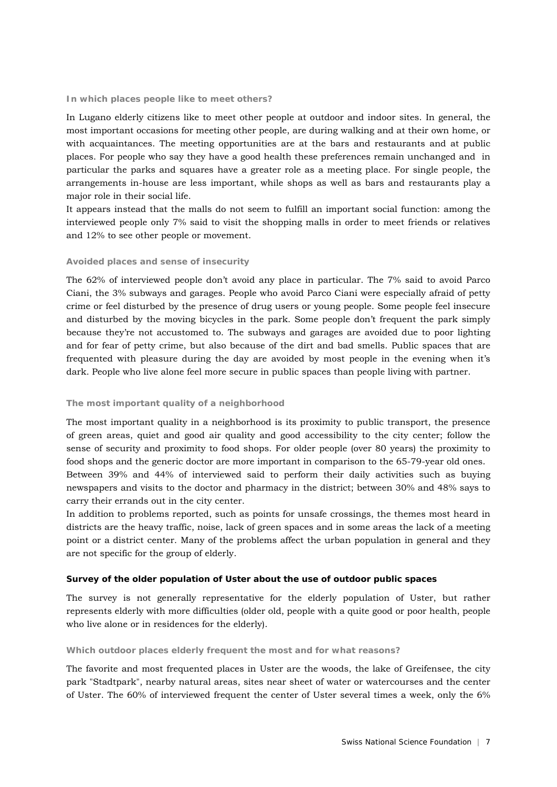#### **In which places people like to meet others?**

In Lugano elderly citizens like to meet other people at outdoor and indoor sites. In general, the most important occasions for meeting other people, are during walking and at their own home, or with acquaintances. The meeting opportunities are at the bars and restaurants and at public places. For people who say they have a good health these preferences remain unchanged and in particular the parks and squares have a greater role as a meeting place. For single people, the arrangements in-house are less important, while shops as well as bars and restaurants play a major role in their social life.

It appears instead that the malls do not seem to fulfill an important social function: among the interviewed people only 7% said to visit the shopping malls in order to meet friends or relatives and 12% to see other people or movement.

#### **Avoided places and sense of insecurity**

The 62% of interviewed people don't avoid any place in particular. The 7% said to avoid Parco Ciani, the 3% subways and garages. People who avoid Parco Ciani were especially afraid of petty crime or feel disturbed by the presence of drug users or young people. Some people feel insecure and disturbed by the moving bicycles in the park. Some people don't frequent the park simply because they're not accustomed to. The subways and garages are avoided due to poor lighting and for fear of petty crime, but also because of the dirt and bad smells. Public spaces that are frequented with pleasure during the day are avoided by most people in the evening when it's dark. People who live alone feel more secure in public spaces than people living with partner.

#### **The most important quality of a neighborhood**

The most important quality in a neighborhood is its proximity to public transport, the presence of green areas, quiet and good air quality and good accessibility to the city center; follow the sense of security and proximity to food shops. For older people (over 80 years) the proximity to food shops and the generic doctor are more important in comparison to the 65-79-year old ones. Between 39% and 44% of interviewed said to perform their daily activities such as buying newspapers and visits to the doctor and pharmacy in the district; between 30% and 48% says to

carry their errands out in the city center.

In addition to problems reported, such as points for unsafe crossings, the themes most heard in districts are the heavy traffic, noise, lack of green spaces and in some areas the lack of a meeting point or a district center. Many of the problems affect the urban population in general and they are not specific for the group of elderly.

#### **Survey of the older population of Uster about the use of outdoor public spaces**

The survey is not generally representative for the elderly population of Uster, but rather represents elderly with more difficulties (older old, people with a quite good or poor health, people who live alone or in residences for the elderly).

#### **Which outdoor places elderly frequent the most and for what reasons?**

The favorite and most frequented places in Uster are the woods, the lake of Greifensee, the city park "Stadtpark", nearby natural areas, sites near sheet of water or watercourses and the center of Uster. The 60% of interviewed frequent the center of Uster several times a week, only the 6%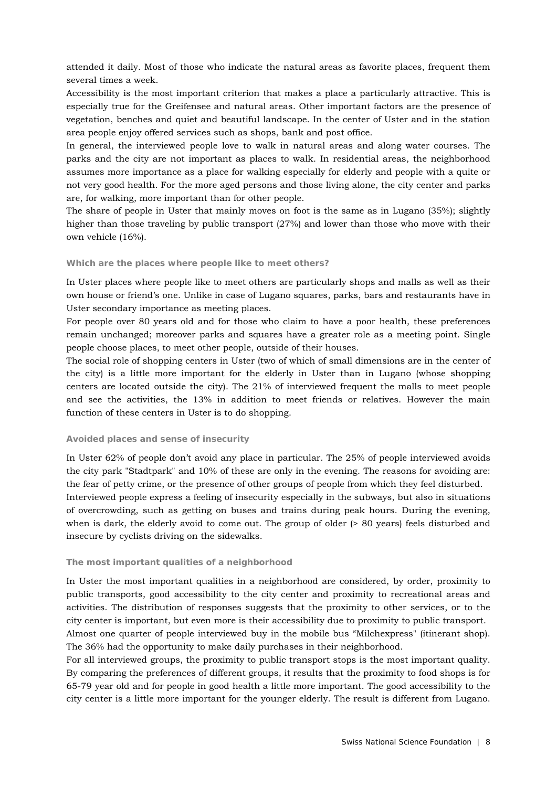attended it daily. Most of those who indicate the natural areas as favorite places, frequent them several times a week.

Accessibility is the most important criterion that makes a place a particularly attractive. This is especially true for the Greifensee and natural areas. Other important factors are the presence of vegetation, benches and quiet and beautiful landscape. In the center of Uster and in the station area people enjoy offered services such as shops, bank and post office.

In general, the interviewed people love to walk in natural areas and along water courses. The parks and the city are not important as places to walk. In residential areas, the neighborhood assumes more importance as a place for walking especially for elderly and people with a quite or not very good health. For the more aged persons and those living alone, the city center and parks are, for walking, more important than for other people.

The share of people in Uster that mainly moves on foot is the same as in Lugano (35%); slightly higher than those traveling by public transport (27%) and lower than those who move with their own vehicle (16%).

#### **Which are the places where people like to meet others?**

In Uster places where people like to meet others are particularly shops and malls as well as their own house or friend's one. Unlike in case of Lugano squares, parks, bars and restaurants have in Uster secondary importance as meeting places.

For people over 80 years old and for those who claim to have a poor health, these preferences remain unchanged; moreover parks and squares have a greater role as a meeting point. Single people choose places, to meet other people, outside of their houses.

The social role of shopping centers in Uster (two of which of small dimensions are in the center of the city) is a little more important for the elderly in Uster than in Lugano (whose shopping centers are located outside the city). The 21% of interviewed frequent the malls to meet people and see the activities, the 13% in addition to meet friends or relatives. However the main function of these centers in Uster is to do shopping.

#### **Avoided places and sense of insecurity**

In Uster 62% of people don't avoid any place in particular. The 25% of people interviewed avoids the city park "Stadtpark" and 10% of these are only in the evening. The reasons for avoiding are: the fear of petty crime, or the presence of other groups of people from which they feel disturbed. Interviewed people express a feeling of insecurity especially in the subways, but also in situations of overcrowding, such as getting on buses and trains during peak hours. During the evening, when is dark, the elderly avoid to come out. The group of older (> 80 years) feels disturbed and insecure by cyclists driving on the sidewalks.

#### **The most important qualities of a neighborhood**

In Uster the most important qualities in a neighborhood are considered, by order, proximity to public transports, good accessibility to the city center and proximity to recreational areas and activities. The distribution of responses suggests that the proximity to other services, or to the city center is important, but even more is their accessibility due to proximity to public transport. Almost one quarter of people interviewed buy in the mobile bus "Milchexpress" (itinerant shop). The 36% had the opportunity to make daily purchases in their neighborhood.

For all interviewed groups, the proximity to public transport stops is the most important quality. By comparing the preferences of different groups, it results that the proximity to food shops is for 65-79 year old and for people in good health a little more important. The good accessibility to the city center is a little more important for the younger elderly. The result is different from Lugano.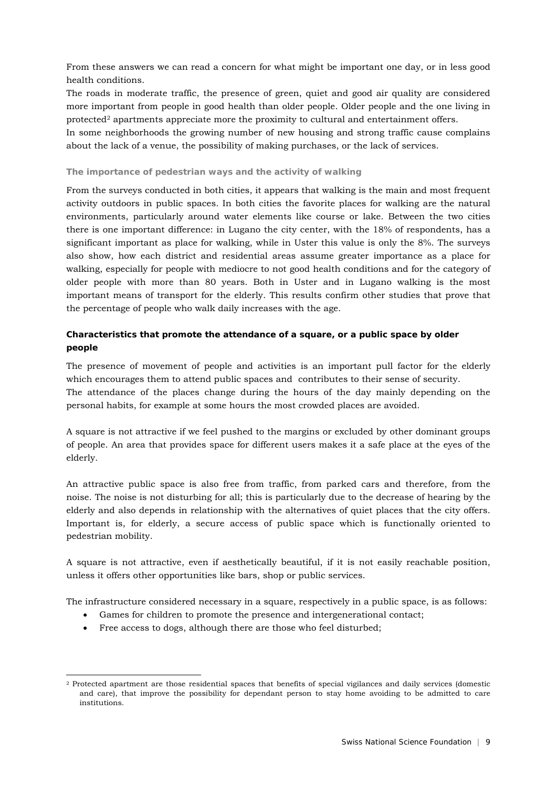From these answers we can read a concern for what might be important one day, or in less good health conditions.

The roads in moderate traffic, the presence of green, quiet and good air quality are considered more important from people in good health than older people. Older people and the one living in protected2 apartments appreciate more the proximity to cultural and entertainment offers.

In some neighborhoods the growing number of new housing and strong traffic cause complains about the lack of a venue, the possibility of making purchases, or the lack of services.

#### **The importance of pedestrian ways and the activity of walking**

From the surveys conducted in both cities, it appears that walking is the main and most frequent activity outdoors in public spaces. In both cities the favorite places for walking are the natural environments, particularly around water elements like course or lake. Between the two cities there is one important difference: in Lugano the city center, with the 18% of respondents, has a significant important as place for walking, while in Uster this value is only the 8%. The surveys also show, how each district and residential areas assume greater importance as a place for walking, especially for people with mediocre to not good health conditions and for the category of older people with more than 80 years. Both in Uster and in Lugano walking is the most important means of transport for the elderly. This results confirm other studies that prove that the percentage of people who walk daily increases with the age.

## **Characteristics that promote the attendance of a square, or a public space by older people**

The presence of movement of people and activities is an important pull factor for the elderly which encourages them to attend public spaces and contributes to their sense of security. The attendance of the places change during the hours of the day mainly depending on the personal habits, for example at some hours the most crowded places are avoided.

A square is not attractive if we feel pushed to the margins or excluded by other dominant groups of people. An area that provides space for different users makes it a safe place at the eyes of the elderly.

An attractive public space is also free from traffic, from parked cars and therefore, from the noise. The noise is not disturbing for all; this is particularly due to the decrease of hearing by the elderly and also depends in relationship with the alternatives of quiet places that the city offers. Important is, for elderly, a secure access of public space which is functionally oriented to pedestrian mobility.

A square is not attractive, even if aesthetically beautiful, if it is not easily reachable position, unless it offers other opportunities like bars, shop or public services.

The infrastructure considered necessary in a square, respectively in a public space, is as follows:

- Games for children to promote the presence and intergenerational contact;
- Free access to dogs, although there are those who feel disturbed;

-

<sup>2</sup> Protected apartment are those residential spaces that benefits of special vigilances and daily services (domestic and care), that improve the possibility for dependant person to stay home avoiding to be admitted to care institutions.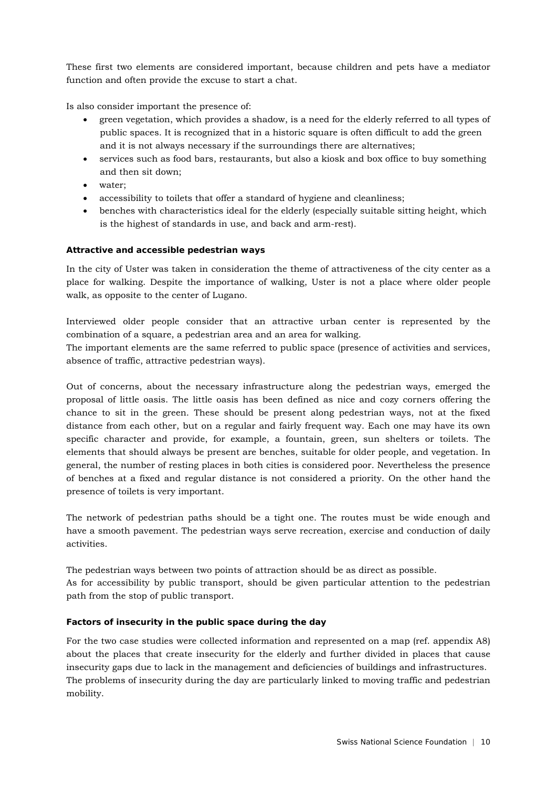These first two elements are considered important, because children and pets have a mediator function and often provide the excuse to start a chat.

Is also consider important the presence of:

- green vegetation, which provides a shadow, is a need for the elderly referred to all types of public spaces. It is recognized that in a historic square is often difficult to add the green and it is not always necessary if the surroundings there are alternatives;
- services such as food bars, restaurants, but also a kiosk and box office to buy something and then sit down;
- water;
- accessibility to toilets that offer a standard of hygiene and cleanliness;
- benches with characteristics ideal for the elderly (especially suitable sitting height, which is the highest of standards in use, and back and arm-rest).

## **Attractive and accessible pedestrian ways**

In the city of Uster was taken in consideration the theme of attractiveness of the city center as a place for walking. Despite the importance of walking, Uster is not a place where older people walk, as opposite to the center of Lugano.

Interviewed older people consider that an attractive urban center is represented by the combination of a square, a pedestrian area and an area for walking.

The important elements are the same referred to public space (presence of activities and services, absence of traffic, attractive pedestrian ways).

Out of concerns, about the necessary infrastructure along the pedestrian ways, emerged the proposal of little oasis. The little oasis has been defined as nice and cozy corners offering the chance to sit in the green. These should be present along pedestrian ways, not at the fixed distance from each other, but on a regular and fairly frequent way. Each one may have its own specific character and provide, for example, a fountain, green, sun shelters or toilets. The elements that should always be present are benches, suitable for older people, and vegetation. In general, the number of resting places in both cities is considered poor. Nevertheless the presence of benches at a fixed and regular distance is not considered a priority. On the other hand the presence of toilets is very important.

The network of pedestrian paths should be a tight one. The routes must be wide enough and have a smooth pavement. The pedestrian ways serve recreation, exercise and conduction of daily activities.

The pedestrian ways between two points of attraction should be as direct as possible. As for accessibility by public transport, should be given particular attention to the pedestrian path from the stop of public transport.

#### **Factors of insecurity in the public space during the day**

For the two case studies were collected information and represented on a map (ref. appendix A8) about the places that create insecurity for the elderly and further divided in places that cause insecurity gaps due to lack in the management and deficiencies of buildings and infrastructures. The problems of insecurity during the day are particularly linked to moving traffic and pedestrian mobility.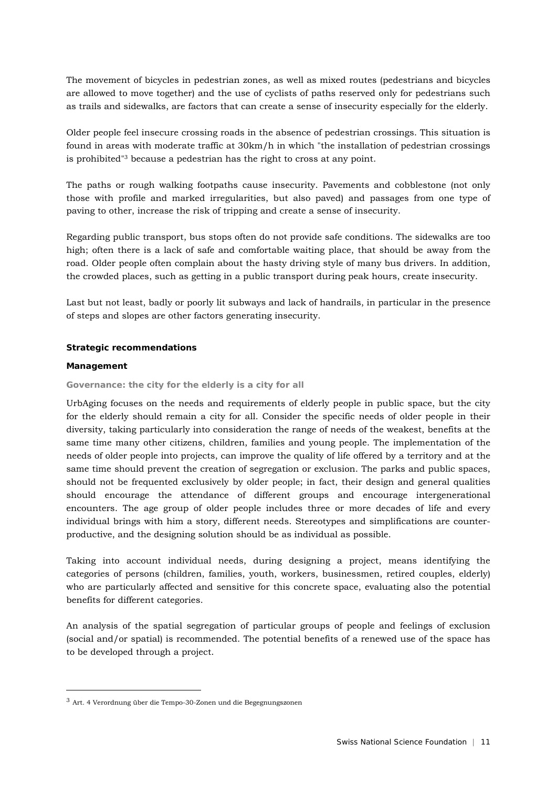The movement of bicycles in pedestrian zones, as well as mixed routes (pedestrians and bicycles are allowed to move together) and the use of cyclists of paths reserved only for pedestrians such as trails and sidewalks, are factors that can create a sense of insecurity especially for the elderly.

Older people feel insecure crossing roads in the absence of pedestrian crossings. This situation is found in areas with moderate traffic at 30km/h in which "the installation of pedestrian crossings is prohibited"3 because a pedestrian has the right to cross at any point.

The paths or rough walking footpaths cause insecurity. Pavements and cobblestone (not only those with profile and marked irregularities, but also paved) and passages from one type of paving to other, increase the risk of tripping and create a sense of insecurity.

Regarding public transport, bus stops often do not provide safe conditions. The sidewalks are too high; often there is a lack of safe and comfortable waiting place, that should be away from the road. Older people often complain about the hasty driving style of many bus drivers. In addition, the crowded places, such as getting in a public transport during peak hours, create insecurity.

Last but not least, badly or poorly lit subways and lack of handrails, in particular in the presence of steps and slopes are other factors generating insecurity.

#### **Strategic recommendations**

#### **Management**

1

#### **Governance: the city for the elderly is a city for all**

UrbAging focuses on the needs and requirements of elderly people in public space, but the city for the elderly should remain a city for all. Consider the specific needs of older people in their diversity, taking particularly into consideration the range of needs of the weakest, benefits at the same time many other citizens, children, families and young people. The implementation of the needs of older people into projects, can improve the quality of life offered by a territory and at the same time should prevent the creation of segregation or exclusion. The parks and public spaces, should not be frequented exclusively by older people; in fact, their design and general qualities should encourage the attendance of different groups and encourage intergenerational encounters. The age group of older people includes three or more decades of life and every individual brings with him a story, different needs. Stereotypes and simplifications are counterproductive, and the designing solution should be as individual as possible.

Taking into account individual needs, during designing a project, means identifying the categories of persons (children, families, youth, workers, businessmen, retired couples, elderly) who are particularly affected and sensitive for this concrete space, evaluating also the potential benefits for different categories.

An analysis of the spatial segregation of particular groups of people and feelings of exclusion (social and/or spatial) is recommended. The potential benefits of a renewed use of the space has to be developed through a project.

 $^3$  Art. 4 Verordnung über die Tempo-30-Zonen und die Begegnungszonen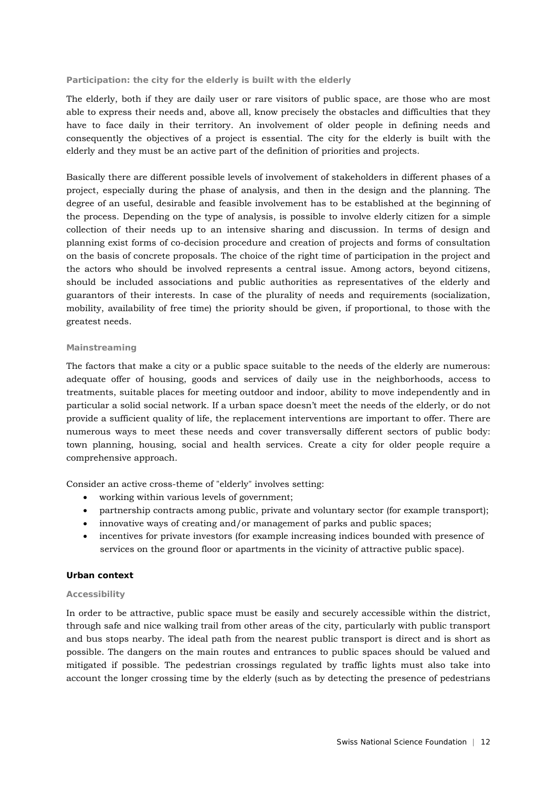#### **Participation: the city for the elderly is built with the elderly**

The elderly, both if they are daily user or rare visitors of public space, are those who are most able to express their needs and, above all, know precisely the obstacles and difficulties that they have to face daily in their territory. An involvement of older people in defining needs and consequently the objectives of a project is essential. The city for the elderly is built with the elderly and they must be an active part of the definition of priorities and projects.

Basically there are different possible levels of involvement of stakeholders in different phases of a project, especially during the phase of analysis, and then in the design and the planning. The degree of an useful, desirable and feasible involvement has to be established at the beginning of the process. Depending on the type of analysis, is possible to involve elderly citizen for a simple collection of their needs up to an intensive sharing and discussion. In terms of design and planning exist forms of co-decision procedure and creation of projects and forms of consultation on the basis of concrete proposals. The choice of the right time of participation in the project and the actors who should be involved represents a central issue. Among actors, beyond citizens, should be included associations and public authorities as representatives of the elderly and guarantors of their interests. In case of the plurality of needs and requirements (socialization, mobility, availability of free time) the priority should be given, if proportional, to those with the greatest needs.

#### **Mainstreaming**

The factors that make a city or a public space suitable to the needs of the elderly are numerous: adequate offer of housing, goods and services of daily use in the neighborhoods, access to treatments, suitable places for meeting outdoor and indoor, ability to move independently and in particular a solid social network. If a urban space doesn't meet the needs of the elderly, or do not provide a sufficient quality of life, the replacement interventions are important to offer. There are numerous ways to meet these needs and cover transversally different sectors of public body: town planning, housing, social and health services. Create a city for older people require a comprehensive approach.

Consider an active cross-theme of "elderly" involves setting:

- working within various levels of government;
- partnership contracts among public, private and voluntary sector (for example transport);
- innovative ways of creating and/or management of parks and public spaces;
- incentives for private investors (for example increasing indices bounded with presence of services on the ground floor or apartments in the vicinity of attractive public space).

## **Urban context**

#### **Accessibility**

In order to be attractive, public space must be easily and securely accessible within the district, through safe and nice walking trail from other areas of the city, particularly with public transport and bus stops nearby. The ideal path from the nearest public transport is direct and is short as possible. The dangers on the main routes and entrances to public spaces should be valued and mitigated if possible. The pedestrian crossings regulated by traffic lights must also take into account the longer crossing time by the elderly (such as by detecting the presence of pedestrians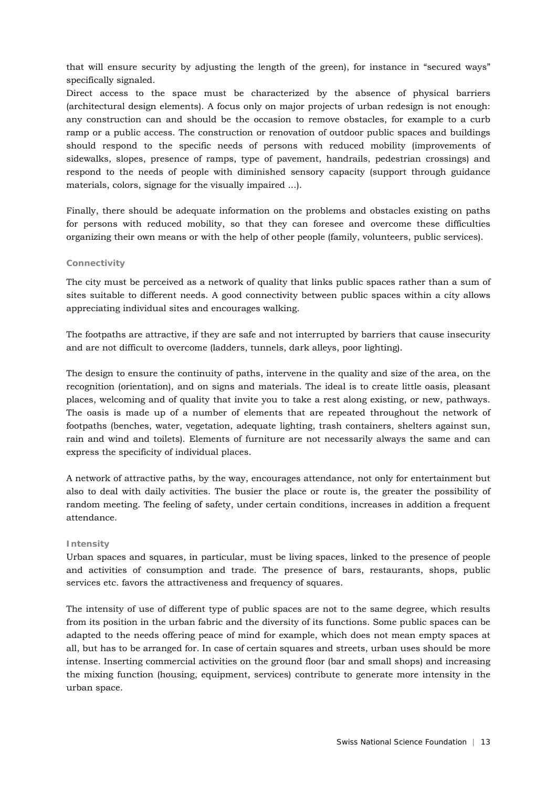that will ensure security by adjusting the length of the green), for instance in "secured ways" specifically signaled.

Direct access to the space must be characterized by the absence of physical barriers (architectural design elements). A focus only on major projects of urban redesign is not enough: any construction can and should be the occasion to remove obstacles, for example to a curb ramp or a public access. The construction or renovation of outdoor public spaces and buildings should respond to the specific needs of persons with reduced mobility (improvements of sidewalks, slopes, presence of ramps, type of pavement, handrails, pedestrian crossings) and respond to the needs of people with diminished sensory capacity (support through guidance materials, colors, signage for the visually impaired ...).

Finally, there should be adequate information on the problems and obstacles existing on paths for persons with reduced mobility, so that they can foresee and overcome these difficulties organizing their own means or with the help of other people (family, volunteers, public services).

#### **Connectivity**

The city must be perceived as a network of quality that links public spaces rather than a sum of sites suitable to different needs. A good connectivity between public spaces within a city allows appreciating individual sites and encourages walking.

The footpaths are attractive, if they are safe and not interrupted by barriers that cause insecurity and are not difficult to overcome (ladders, tunnels, dark alleys, poor lighting).

The design to ensure the continuity of paths, intervene in the quality and size of the area, on the recognition (orientation), and on signs and materials. The ideal is to create little oasis, pleasant places, welcoming and of quality that invite you to take a rest along existing, or new, pathways. The oasis is made up of a number of elements that are repeated throughout the network of footpaths (benches, water, vegetation, adequate lighting, trash containers, shelters against sun, rain and wind and toilets). Elements of furniture are not necessarily always the same and can express the specificity of individual places.

A network of attractive paths, by the way, encourages attendance, not only for entertainment but also to deal with daily activities. The busier the place or route is, the greater the possibility of random meeting. The feeling of safety, under certain conditions, increases in addition a frequent attendance.

#### **Intensity**

Urban spaces and squares, in particular, must be living spaces, linked to the presence of people and activities of consumption and trade. The presence of bars, restaurants, shops, public services etc. favors the attractiveness and frequency of squares.

The intensity of use of different type of public spaces are not to the same degree, which results from its position in the urban fabric and the diversity of its functions. Some public spaces can be adapted to the needs offering peace of mind for example, which does not mean empty spaces at all, but has to be arranged for. In case of certain squares and streets, urban uses should be more intense. Inserting commercial activities on the ground floor (bar and small shops) and increasing the mixing function (housing, equipment, services) contribute to generate more intensity in the urban space.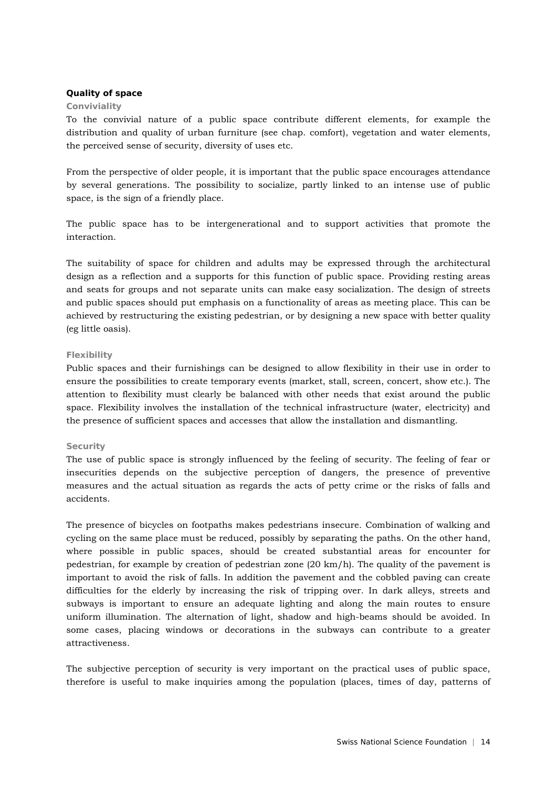#### **Quality of space**

#### **Conviviality**

To the convivial nature of a public space contribute different elements, for example the distribution and quality of urban furniture (see chap. comfort), vegetation and water elements, the perceived sense of security, diversity of uses etc.

From the perspective of older people, it is important that the public space encourages attendance by several generations. The possibility to socialize, partly linked to an intense use of public space, is the sign of a friendly place.

The public space has to be intergenerational and to support activities that promote the interaction.

The suitability of space for children and adults may be expressed through the architectural design as a reflection and a supports for this function of public space. Providing resting areas and seats for groups and not separate units can make easy socialization. The design of streets and public spaces should put emphasis on a functionality of areas as meeting place. This can be achieved by restructuring the existing pedestrian, or by designing a new space with better quality (eg little oasis).

#### **Flexibility**

Public spaces and their furnishings can be designed to allow flexibility in their use in order to ensure the possibilities to create temporary events (market, stall, screen, concert, show etc.). The attention to flexibility must clearly be balanced with other needs that exist around the public space. Flexibility involves the installation of the technical infrastructure (water, electricity) and the presence of sufficient spaces and accesses that allow the installation and dismantling.

#### **Security**

The use of public space is strongly influenced by the feeling of security. The feeling of fear or insecurities depends on the subjective perception of dangers, the presence of preventive measures and the actual situation as regards the acts of petty crime or the risks of falls and accidents.

The presence of bicycles on footpaths makes pedestrians insecure. Combination of walking and cycling on the same place must be reduced, possibly by separating the paths. On the other hand, where possible in public spaces, should be created substantial areas for encounter for pedestrian, for example by creation of pedestrian zone (20 km/h). The quality of the pavement is important to avoid the risk of falls. In addition the pavement and the cobbled paving can create difficulties for the elderly by increasing the risk of tripping over. In dark alleys, streets and subways is important to ensure an adequate lighting and along the main routes to ensure uniform illumination. The alternation of light, shadow and high-beams should be avoided. In some cases, placing windows or decorations in the subways can contribute to a greater attractiveness.

The subjective perception of security is very important on the practical uses of public space, therefore is useful to make inquiries among the population (places, times of day, patterns of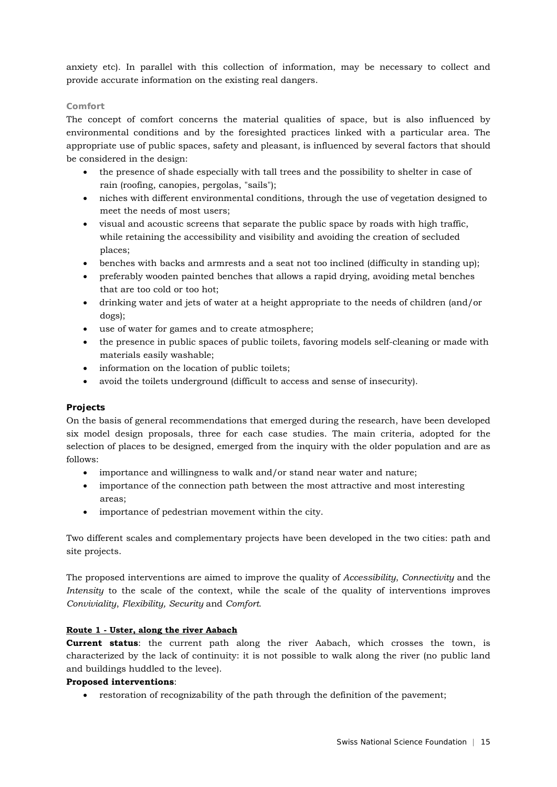anxiety etc). In parallel with this collection of information, may be necessary to collect and provide accurate information on the existing real dangers.

## **Comfort**

The concept of comfort concerns the material qualities of space, but is also influenced by environmental conditions and by the foresighted practices linked with a particular area. The appropriate use of public spaces, safety and pleasant, is influenced by several factors that should be considered in the design:

- the presence of shade especially with tall trees and the possibility to shelter in case of rain (roofing, canopies, pergolas, "sails");
- niches with different environmental conditions, through the use of vegetation designed to meet the needs of most users;
- visual and acoustic screens that separate the public space by roads with high traffic, while retaining the accessibility and visibility and avoiding the creation of secluded places;
- benches with backs and armrests and a seat not too inclined (difficulty in standing up);
- preferably wooden painted benches that allows a rapid drying, avoiding metal benches that are too cold or too hot;
- drinking water and jets of water at a height appropriate to the needs of children (and/or dogs);
- use of water for games and to create atmosphere;
- the presence in public spaces of public toilets, favoring models self-cleaning or made with materials easily washable;
- information on the location of public toilets;
- avoid the toilets underground (difficult to access and sense of insecurity).

#### **Projects**

On the basis of general recommendations that emerged during the research, have been developed six model design proposals, three for each case studies. The main criteria, adopted for the selection of places to be designed, emerged from the inquiry with the older population and are as follows:

- importance and willingness to walk and/or stand near water and nature;
- importance of the connection path between the most attractive and most interesting areas;
- importance of pedestrian movement within the city.

Two different scales and complementary projects have been developed in the two cities: path and site projects.

The proposed interventions are aimed to improve the quality of *Accessibility*, *Connectivity* and the *Intensity* to the scale of the context, while the scale of the quality of interventions improves *Conviviality*, *Flexibility, Security* and *Comfort*.

## **Route 1 - Uster, along the river Aabach**

**Current status**: the current path along the river Aabach, which crosses the town, is characterized by the lack of continuity: it is not possible to walk along the river (no public land and buildings huddled to the levee).

## **Proposed interventions**:

• restoration of recognizability of the path through the definition of the pavement;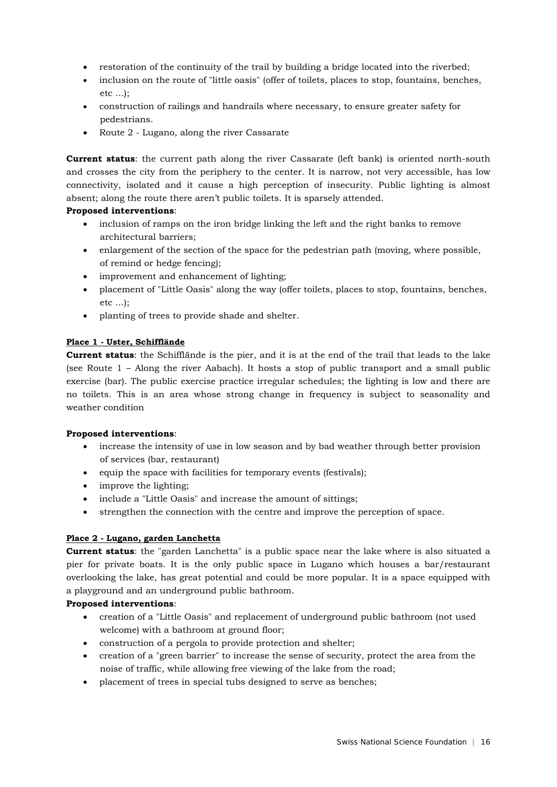- restoration of the continuity of the trail by building a bridge located into the riverbed;
- inclusion on the route of "little oasis" (offer of toilets, places to stop, fountains, benches, etc ...);
- construction of railings and handrails where necessary, to ensure greater safety for pedestrians.
- Route 2 Lugano, along the river Cassarate

**Current status**: the current path along the river Cassarate (left bank) is oriented north-south and crosses the city from the periphery to the center. It is narrow, not very accessible, has low connectivity, isolated and it cause a high perception of insecurity. Public lighting is almost absent; along the route there aren't public toilets. It is sparsely attended.

## **Proposed interventions**:

- inclusion of ramps on the iron bridge linking the left and the right banks to remove architectural barriers;
- enlargement of the section of the space for the pedestrian path (moving, where possible, of remind or hedge fencing);
- improvement and enhancement of lighting;
- placement of "Little Oasis" along the way (offer toilets, places to stop, fountains, benches, etc ...);
- planting of trees to provide shade and shelter.

## **Place 1 - Uster, Schifflände**

**Current status**: the Schifflände is the pier, and it is at the end of the trail that leads to the lake (see Route 1 – Along the river Aabach). It hosts a stop of public transport and a small public exercise (bar). The public exercise practice irregular schedules; the lighting is low and there are no toilets. This is an area whose strong change in frequency is subject to seasonality and weather condition

## **Proposed interventions**:

- increase the intensity of use in low season and by bad weather through better provision of services (bar, restaurant)
- equip the space with facilities for temporary events (festivals);
- improve the lighting;
- include a "Little Oasis" and increase the amount of sittings;
- strengthen the connection with the centre and improve the perception of space.

## **Place 2 - Lugano, garden Lanchetta**

**Current status**: the "garden Lanchetta" is a public space near the lake where is also situated a pier for private boats. It is the only public space in Lugano which houses a bar/restaurant overlooking the lake, has great potential and could be more popular. It is a space equipped with a playground and an underground public bathroom.

## **Proposed interventions**:

- creation of a "Little Oasis" and replacement of underground public bathroom (not used welcome) with a bathroom at ground floor;
- construction of a pergola to provide protection and shelter;
- creation of a "green barrier" to increase the sense of security, protect the area from the noise of traffic, while allowing free viewing of the lake from the road;
- placement of trees in special tubs designed to serve as benches;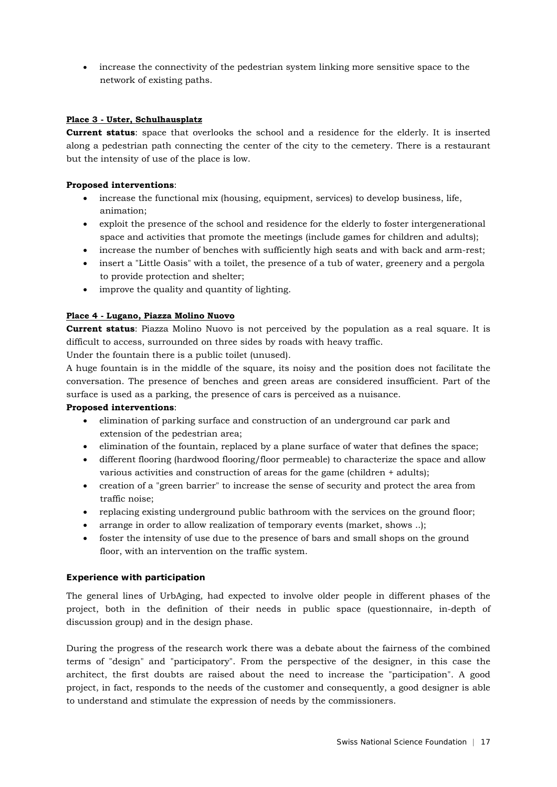• increase the connectivity of the pedestrian system linking more sensitive space to the network of existing paths.

## **Place 3 - Uster, Schulhausplatz**

**Current status**: space that overlooks the school and a residence for the elderly. It is inserted along a pedestrian path connecting the center of the city to the cemetery. There is a restaurant but the intensity of use of the place is low.

## **Proposed interventions**:

- increase the functional mix (housing, equipment, services) to develop business, life, animation;
- exploit the presence of the school and residence for the elderly to foster intergenerational space and activities that promote the meetings (include games for children and adults);
- increase the number of benches with sufficiently high seats and with back and arm-rest;
- insert a "Little Oasis" with a toilet, the presence of a tub of water, greenery and a pergola to provide protection and shelter;
- improve the quality and quantity of lighting.

## **Place 4 - Lugano, Piazza Molino Nuovo**

**Current status**: Piazza Molino Nuovo is not perceived by the population as a real square. It is difficult to access, surrounded on three sides by roads with heavy traffic.

Under the fountain there is a public toilet (unused).

A huge fountain is in the middle of the square, its noisy and the position does not facilitate the conversation. The presence of benches and green areas are considered insufficient. Part of the surface is used as a parking, the presence of cars is perceived as a nuisance.

#### **Proposed interventions**:

- elimination of parking surface and construction of an underground car park and extension of the pedestrian area;
- elimination of the fountain, replaced by a plane surface of water that defines the space;
- different flooring (hardwood flooring/floor permeable) to characterize the space and allow various activities and construction of areas for the game (children + adults);
- creation of a "green barrier" to increase the sense of security and protect the area from traffic noise;
- replacing existing underground public bathroom with the services on the ground floor;
- arrange in order to allow realization of temporary events (market, shows ..);
- foster the intensity of use due to the presence of bars and small shops on the ground floor, with an intervention on the traffic system.

## **Experience with participation**

The general lines of UrbAging, had expected to involve older people in different phases of the project, both in the definition of their needs in public space (questionnaire, in-depth of discussion group) and in the design phase.

During the progress of the research work there was a debate about the fairness of the combined terms of "design" and "participatory". From the perspective of the designer, in this case the architect, the first doubts are raised about the need to increase the "participation". A good project, in fact, responds to the needs of the customer and consequently, a good designer is able to understand and stimulate the expression of needs by the commissioners.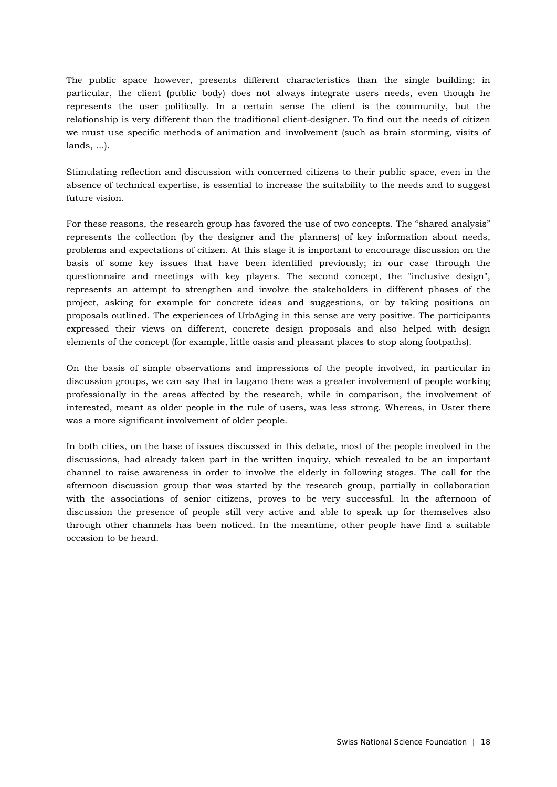The public space however, presents different characteristics than the single building; in particular, the client (public body) does not always integrate users needs, even though he represents the user politically. In a certain sense the client is the community, but the relationship is very different than the traditional client-designer. To find out the needs of citizen we must use specific methods of animation and involvement (such as brain storming, visits of lands, ...).

Stimulating reflection and discussion with concerned citizens to their public space, even in the absence of technical expertise, is essential to increase the suitability to the needs and to suggest future vision.

For these reasons, the research group has favored the use of two concepts. The "shared analysis" represents the collection (by the designer and the planners) of key information about needs, problems and expectations of citizen. At this stage it is important to encourage discussion on the basis of some key issues that have been identified previously; in our case through the questionnaire and meetings with key players. The second concept, the "inclusive design", represents an attempt to strengthen and involve the stakeholders in different phases of the project, asking for example for concrete ideas and suggestions, or by taking positions on proposals outlined. The experiences of UrbAging in this sense are very positive. The participants expressed their views on different, concrete design proposals and also helped with design elements of the concept (for example, little oasis and pleasant places to stop along footpaths).

On the basis of simple observations and impressions of the people involved, in particular in discussion groups, we can say that in Lugano there was a greater involvement of people working professionally in the areas affected by the research, while in comparison, the involvement of interested, meant as older people in the rule of users, was less strong. Whereas, in Uster there was a more significant involvement of older people.

In both cities, on the base of issues discussed in this debate, most of the people involved in the discussions, had already taken part in the written inquiry, which revealed to be an important channel to raise awareness in order to involve the elderly in following stages. The call for the afternoon discussion group that was started by the research group, partially in collaboration with the associations of senior citizens, proves to be very successful. In the afternoon of discussion the presence of people still very active and able to speak up for themselves also through other channels has been noticed. In the meantime, other people have find a suitable occasion to be heard.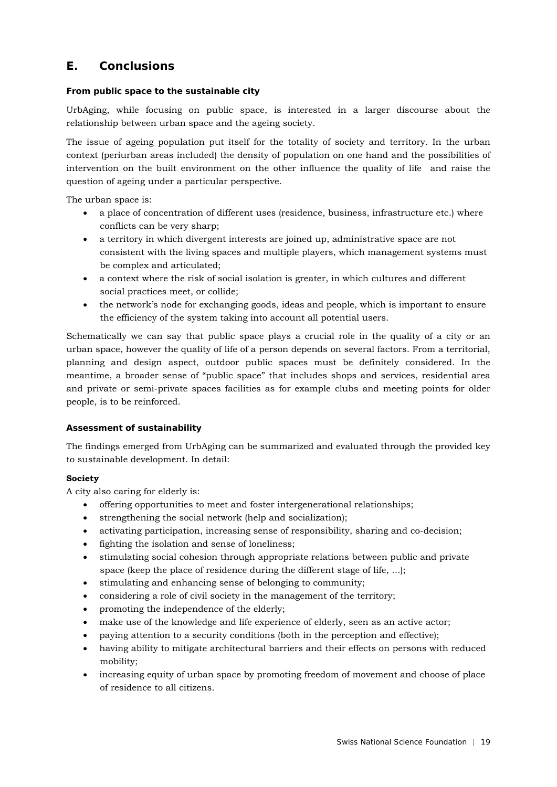# **E. Conclusions**

## **From public space to the sustainable city**

UrbAging, while focusing on public space, is interested in a larger discourse about the relationship between urban space and the ageing society.

The issue of ageing population put itself for the totality of society and territory. In the urban context (periurban areas included) the density of population on one hand and the possibilities of intervention on the built environment on the other influence the quality of life and raise the question of ageing under a particular perspective.

The urban space is:

- a place of concentration of different uses (residence, business, infrastructure etc.) where conflicts can be very sharp;
- a territory in which divergent interests are joined up, administrative space are not consistent with the living spaces and multiple players, which management systems must be complex and articulated;
- a context where the risk of social isolation is greater, in which cultures and different social practices meet, or collide;
- the network's node for exchanging goods, ideas and people, which is important to ensure the efficiency of the system taking into account all potential users.

Schematically we can say that public space plays a crucial role in the quality of a city or an urban space, however the quality of life of a person depends on several factors. From a territorial, planning and design aspect, outdoor public spaces must be definitely considered. In the meantime, a broader sense of "public space" that includes shops and services, residential area and private or semi-private spaces facilities as for example clubs and meeting points for older people, is to be reinforced.

## **Assessment of sustainability**

The findings emerged from UrbAging can be summarized and evaluated through the provided key to sustainable development. In detail:

#### **Society**

A city also caring for elderly is:

- offering opportunities to meet and foster intergenerational relationships;
- strengthening the social network (help and socialization);
- activating participation, increasing sense of responsibility, sharing and co-decision;
- fighting the isolation and sense of loneliness;
- stimulating social cohesion through appropriate relations between public and private space (keep the place of residence during the different stage of life, ...);
- stimulating and enhancing sense of belonging to community;
- considering a role of civil society in the management of the territory;
- promoting the independence of the elderly;
- make use of the knowledge and life experience of elderly, seen as an active actor;
- paying attention to a security conditions (both in the perception and effective);
- having ability to mitigate architectural barriers and their effects on persons with reduced mobility;
- increasing equity of urban space by promoting freedom of movement and choose of place of residence to all citizens.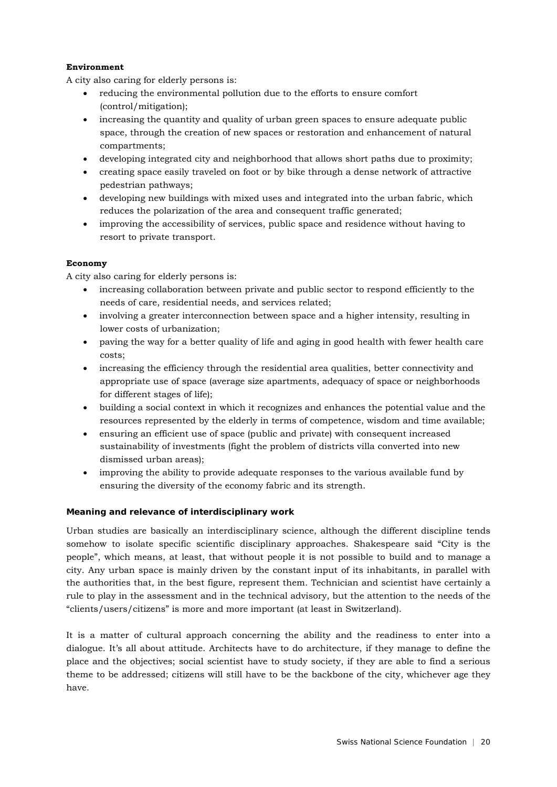## **Environment**

A city also caring for elderly persons is:

- reducing the environmental pollution due to the efforts to ensure comfort (control/mitigation);
- increasing the quantity and quality of urban green spaces to ensure adequate public space, through the creation of new spaces or restoration and enhancement of natural compartments;
- developing integrated city and neighborhood that allows short paths due to proximity;
- creating space easily traveled on foot or by bike through a dense network of attractive pedestrian pathways;
- developing new buildings with mixed uses and integrated into the urban fabric, which reduces the polarization of the area and consequent traffic generated;
- improving the accessibility of services, public space and residence without having to resort to private transport.

## **Economy**

A city also caring for elderly persons is:

- increasing collaboration between private and public sector to respond efficiently to the needs of care, residential needs, and services related;
- involving a greater interconnection between space and a higher intensity, resulting in lower costs of urbanization;
- paving the way for a better quality of life and aging in good health with fewer health care costs;
- increasing the efficiency through the residential area qualities, better connectivity and appropriate use of space (average size apartments, adequacy of space or neighborhoods for different stages of life);
- building a social context in which it recognizes and enhances the potential value and the resources represented by the elderly in terms of competence, wisdom and time available;
- ensuring an efficient use of space (public and private) with consequent increased sustainability of investments (fight the problem of districts villa converted into new dismissed urban areas);
- improving the ability to provide adequate responses to the various available fund by ensuring the diversity of the economy fabric and its strength.

## **Meaning and relevance of interdisciplinary work**

Urban studies are basically an interdisciplinary science, although the different discipline tends somehow to isolate specific scientific disciplinary approaches. Shakespeare said "City is the people", which means, at least, that without people it is not possible to build and to manage a city. Any urban space is mainly driven by the constant input of its inhabitants, in parallel with the authorities that, in the best figure, represent them. Technician and scientist have certainly a rule to play in the assessment and in the technical advisory, but the attention to the needs of the "clients/users/citizens" is more and more important (at least in Switzerland).

It is a matter of cultural approach concerning the ability and the readiness to enter into a dialogue. It's all about attitude. Architects have to do architecture, if they manage to define the place and the objectives; social scientist have to study society, if they are able to find a serious theme to be addressed; citizens will still have to be the backbone of the city, whichever age they have.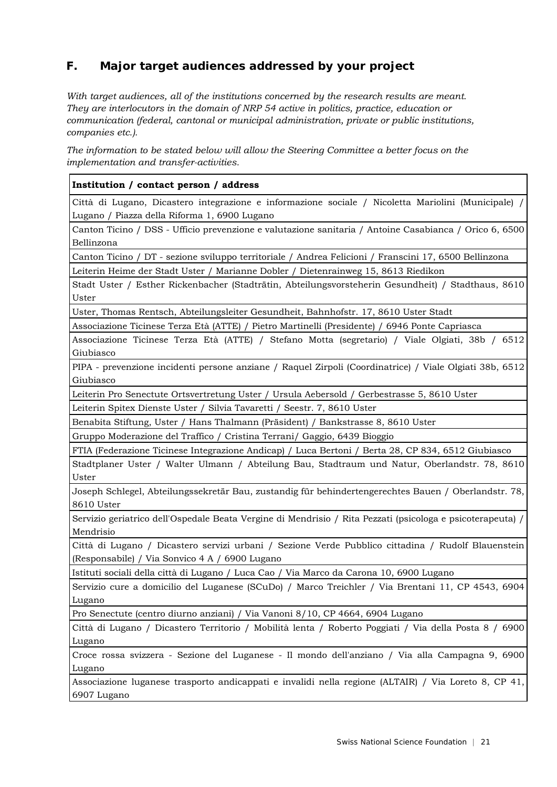# **F. Major target audiences addressed by your project**

*With target audiences, all of the institutions concerned by the research results are meant. They are interlocutors in the domain of NRP 54 active in politics, practice, education or communication (federal, cantonal or municipal administration, private or public institutions, companies etc.).* 

*The information to be stated below will allow the Steering Committee a better focus on the implementation and transfer-activities.* 

## **Institution / contact person / address**

Città di Lugano, Dicastero integrazione e informazione sociale / Nicoletta Mariolini (Municipale) / Lugano / Piazza della Riforma 1, 6900 Lugano

Canton Ticino / DSS - Ufficio prevenzione e valutazione sanitaria / Antoine Casabianca / Orico 6, 6500 Bellinzona

Canton Ticino / DT - sezione sviluppo territoriale / Andrea Felicioni / Franscini 17, 6500 Bellinzona Leiterin Heime der Stadt Uster / Marianne Dobler / Dietenrainweg 15, 8613 Riedikon

Stadt Uster / Esther Rickenbacher (Stadträtin, Abteilungsvorsteherin Gesundheit) / Stadthaus, 8610 Uster

Uster, Thomas Rentsch, Abteilungsleiter Gesundheit, Bahnhofstr. 17, 8610 Uster Stadt

Associazione Ticinese Terza Età (ATTE) / Pietro Martinelli (Presidente) / 6946 Ponte Capriasca

Associazione Ticinese Terza Età (ATTE) / Stefano Motta (segretario) / Viale Olgiati, 38b / 6512 Giubiasco

PIPA - prevenzione incidenti persone anziane / Raquel Zirpoli (Coordinatrice) / Viale Olgiati 38b, 6512 Giubiasco

Leiterin Pro Senectute Ortsvertretung Uster / Ursula Aebersold / Gerbestrasse 5, 8610 Uster

Leiterin Spitex Dienste Uster / Silvia Tavaretti / Seestr. 7, 8610 Uster

Benabita Stiftung, Uster / Hans Thalmann (Präsident) / Bankstrasse 8, 8610 Uster

Gruppo Moderazione del Traffico / Cristina Terrani/ Gaggio, 6439 Bioggio

FTIA (Federazione Ticinese Integrazione Andicap) / Luca Bertoni / Berta 28, CP 834, 6512 Giubiasco

Stadtplaner Uster / Walter Ulmann / Abteilung Bau, Stadtraum und Natur, Oberlandstr. 78, 8610 Uster

Joseph Schlegel, Abteilungssekretär Bau, zustandig für behindertengerechtes Bauen / Oberlandstr. 78, 8610 Uster

Servizio geriatrico dell'Ospedale Beata Vergine di Mendrisio / Rita Pezzati (psicologa e psicoterapeuta) / Mendrisio

Città di Lugano / Dicastero servizi urbani / Sezione Verde Pubblico cittadina / Rudolf Blauenstein (Responsabile) / Via Sonvico 4 A / 6900 Lugano

Istituti sociali della città di Lugano / Luca Cao / Via Marco da Carona 10, 6900 Lugano

Servizio cure a domicilio del Luganese (SCuDo) / Marco Treichler / Via Brentani 11, CP 4543, 6904 Lugano

Pro Senectute (centro diurno anziani) / Via Vanoni 8/10, CP 4664, 6904 Lugano

Città di Lugano / Dicastero Territorio / Mobilità lenta / Roberto Poggiati / Via della Posta 8 / 6900 Lugano

Croce rossa svizzera - Sezione del Luganese - Il mondo dell'anziano / Via alla Campagna 9, 6900 Lugano

Associazione luganese trasporto andicappati e invalidi nella regione (ALTAIR) / Via Loreto 8, CP 41, 6907 Lugano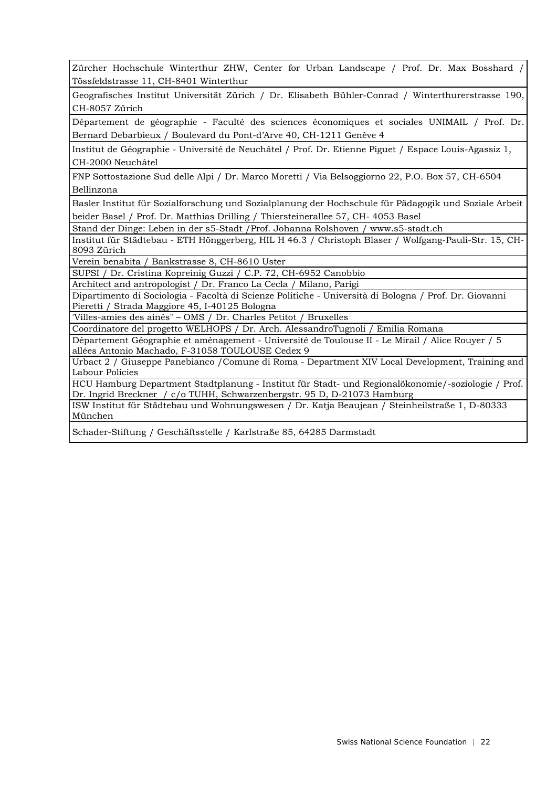Zürcher Hochschule Winterthur ZHW, Center for Urban Landscape / Prof. Dr. Max Bosshard / Tössfeldstrasse 11, CH-8401 Winterthur

Geografisches Institut Universität Zürich / Dr. Elisabeth Bühler-Conrad / Winterthurerstrasse 190, CH-8057 Zürich

Département de géographie - Faculté des sciences économiques et sociales UNIMAIL / Prof. Dr. Bernard Debarbieux / Boulevard du Pont-d'Arve 40, CH-1211 Genève 4

Institut de Géographie - Université de Neuchâtel / Prof. Dr. Etienne Piguet / Espace Louis-Agassiz 1, CH-2000 Neuchâtel

FNP Sottostazione Sud delle Alpi / Dr. Marco Moretti / Via Belsoggiorno 22, P.O. Box 57, CH-6504 Bellinzona

Basler Institut für Sozialforschung und Sozialplanung der Hochschule für Pädagogik und Soziale Arbeit beider Basel / Prof. Dr. Matthias Drilling / Thiersteinerallee 57, CH- 4053 Basel

Stand der Dinge: Leben in der s5-Stadt /Prof. Johanna Rolshoven / www.s5-stadt.ch

Institut für Städtebau - ETH Hönggerberg, HIL H 46.3 / Christoph Blaser / Wolfgang-Pauli-Str. 15, CH-8093 Zürich

Verein benabita / Bankstrasse 8, CH-8610 Uster

SUPSI / Dr. Cristina Kopreinig Guzzi / C.P. 72, CH-6952 Canobbio

Architect and antropologist / Dr. Franco La Cecla / Milano, Parigi

Dipartimento di Sociologia - Facoltà di Scienze Politiche - Università di Bologna / Prof. Dr. Giovanni Pieretti / Strada Maggiore 45, I-40125 Bologna

'Villes-amies des ainés" – OMS / Dr. Charles Petitot / Bruxelles

Coordinatore del progetto WELHOPS / Dr. Arch. AlessandroTugnoli / Emilia Romana

Département Géographie et aménagement - Université de Toulouse II - Le Mirail / Alice Rouyer / 5 allées Antonio Machado, F-31058 TOULOUSE Cedex 9

Urbact 2 / Giuseppe Panebianco /Comune di Roma - Department XIV Local Development, Training and Labour Policies

HCU Hamburg Department Stadtplanung - Institut für Stadt- und Regionalökonomie/-soziologie / Prof. Dr. Ingrid Breckner / c/o TUHH, Schwarzenbergstr. 95 D, D-21073 Hamburg

ISW Institut für Städtebau und Wohnungswesen / Dr. Katja Beaujean / Steinheilstraße 1, D-80333 München

Schader-Stiftung / Geschäftsstelle / Karlstraße 85, 64285 Darmstadt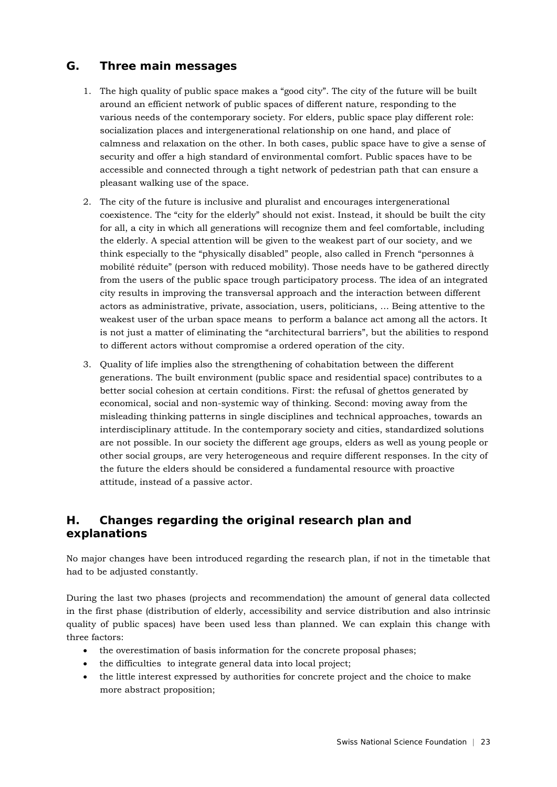# **G. Three main messages**

- 1. The high quality of public space makes a "good city". The city of the future will be built around an efficient network of public spaces of different nature, responding to the various needs of the contemporary society. For elders, public space play different role: socialization places and intergenerational relationship on one hand, and place of calmness and relaxation on the other. In both cases, public space have to give a sense of security and offer a high standard of environmental comfort. Public spaces have to be accessible and connected through a tight network of pedestrian path that can ensure a pleasant walking use of the space.
- 2. The city of the future is inclusive and pluralist and encourages intergenerational coexistence. The "city for the elderly" should not exist. Instead, it should be built the city for all, a city in which all generations will recognize them and feel comfortable, including the elderly. A special attention will be given to the weakest part of our society, and we think especially to the "physically disabled" people, also called in French "personnes à mobilité réduite" (person with reduced mobility). Those needs have to be gathered directly from the users of the public space trough participatory process. The idea of an integrated city results in improving the transversal approach and the interaction between different actors as administrative, private, association, users, politicians, … Being attentive to the weakest user of the urban space means to perform a balance act among all the actors. It is not just a matter of eliminating the "architectural barriers", but the abilities to respond to different actors without compromise a ordered operation of the city.
- 3. Quality of life implies also the strengthening of cohabitation between the different generations. The built environment (public space and residential space) contributes to a better social cohesion at certain conditions. First: the refusal of ghettos generated by economical, social and non-systemic way of thinking. Second: moving away from the misleading thinking patterns in single disciplines and technical approaches, towards an interdisciplinary attitude. In the contemporary society and cities, standardized solutions are not possible. In our society the different age groups, elders as well as young people or other social groups, are very heterogeneous and require different responses. In the city of the future the elders should be considered a fundamental resource with proactive attitude, instead of a passive actor.

# **H. Changes regarding the original research plan and explanations**

No major changes have been introduced regarding the research plan, if not in the timetable that had to be adjusted constantly.

During the last two phases (projects and recommendation) the amount of general data collected in the first phase (distribution of elderly, accessibility and service distribution and also intrinsic quality of public spaces) have been used less than planned. We can explain this change with three factors:

- the overestimation of basis information for the concrete proposal phases:
- the difficulties to integrate general data into local project;
- the little interest expressed by authorities for concrete project and the choice to make more abstract proposition;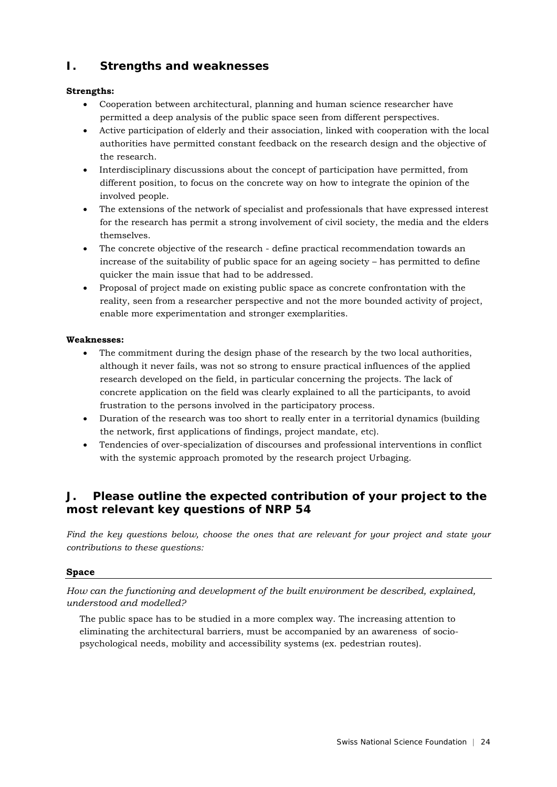# **I. Strengths and weaknesses**

## **Strengths:**

- Cooperation between architectural, planning and human science researcher have permitted a deep analysis of the public space seen from different perspectives.
- Active participation of elderly and their association, linked with cooperation with the local authorities have permitted constant feedback on the research design and the objective of the research.
- Interdisciplinary discussions about the concept of participation have permitted, from different position, to focus on the concrete way on how to integrate the opinion of the involved people.
- The extensions of the network of specialist and professionals that have expressed interest for the research has permit a strong involvement of civil society, the media and the elders themselves.
- The concrete objective of the research define practical recommendation towards an increase of the suitability of public space for an ageing society – has permitted to define quicker the main issue that had to be addressed.
- Proposal of project made on existing public space as concrete confrontation with the reality, seen from a researcher perspective and not the more bounded activity of project, enable more experimentation and stronger exemplarities.

## **Weaknesses:**

- The commitment during the design phase of the research by the two local authorities, although it never fails, was not so strong to ensure practical influences of the applied research developed on the field, in particular concerning the projects. The lack of concrete application on the field was clearly explained to all the participants, to avoid frustration to the persons involved in the participatory process.
- Duration of the research was too short to really enter in a territorial dynamics (building the network, first applications of findings, project mandate, etc).
- Tendencies of over-specialization of discourses and professional interventions in conflict with the systemic approach promoted by the research project Urbaging.

# **J. Please outline the expected contribution of your project to the most relevant key questions of NRP 54**

*Find the key questions below, choose the ones that are relevant for your project and state your contributions to these questions:* 

## **Space**

*How can the functioning and development of the built environment be described, explained, understood and modelled?* 

The public space has to be studied in a more complex way. The increasing attention to eliminating the architectural barriers, must be accompanied by an awareness of sociopsychological needs, mobility and accessibility systems (ex. pedestrian routes).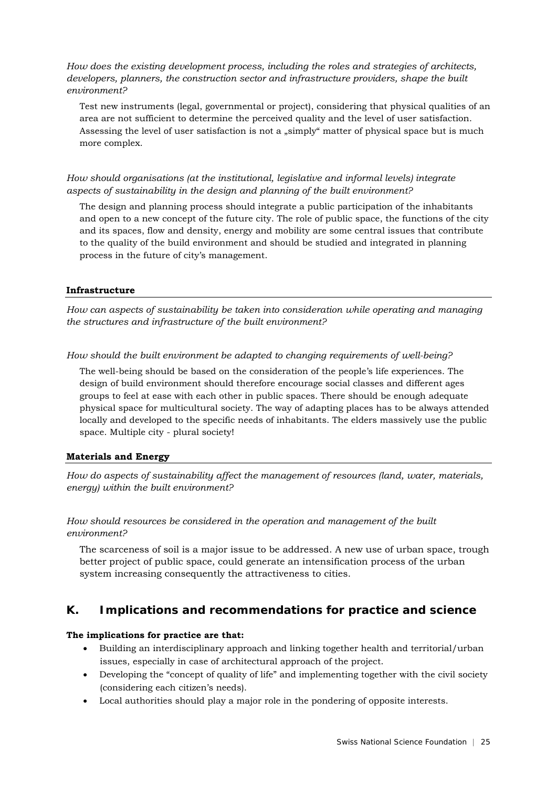*How does the existing development process, including the roles and strategies of architects, developers, planners, the construction sector and infrastructure providers, shape the built environment?* 

Test new instruments (legal, governmental or project), considering that physical qualities of an area are not sufficient to determine the perceived quality and the level of user satisfaction. Assessing the level of user satisfaction is not a "simply" matter of physical space but is much more complex.

*How should organisations (at the institutional, legislative and informal levels) integrate aspects of sustainability in the design and planning of the built environment?* 

The design and planning process should integrate a public participation of the inhabitants and open to a new concept of the future city. The role of public space, the functions of the city and its spaces, flow and density, energy and mobility are some central issues that contribute to the quality of the build environment and should be studied and integrated in planning process in the future of city's management.

## **Infrastructure**

*How can aspects of sustainability be taken into consideration while operating and managing the structures and infrastructure of the built environment?* 

*How should the built environment be adapted to changing requirements of well-being?* 

The well-being should be based on the consideration of the people's life experiences. The design of build environment should therefore encourage social classes and different ages groups to feel at ease with each other in public spaces. There should be enough adequate physical space for multicultural society. The way of adapting places has to be always attended locally and developed to the specific needs of inhabitants. The elders massively use the public space. Multiple city - plural society!

## **Materials and Energy**

*How do aspects of sustainability affect the management of resources (land, water, materials, energy) within the built environment?* 

## *How should resources be considered in the operation and management of the built environment?*

The scarceness of soil is a major issue to be addressed. A new use of urban space, trough better project of public space, could generate an intensification process of the urban system increasing consequently the attractiveness to cities.

## **K. Implications and recommendations for practice and science**

#### **The implications for practice are that:**

- Building an interdisciplinary approach and linking together health and territorial/urban issues, especially in case of architectural approach of the project.
- Developing the "concept of quality of life" and implementing together with the civil society (considering each citizen's needs).
- Local authorities should play a major role in the pondering of opposite interests.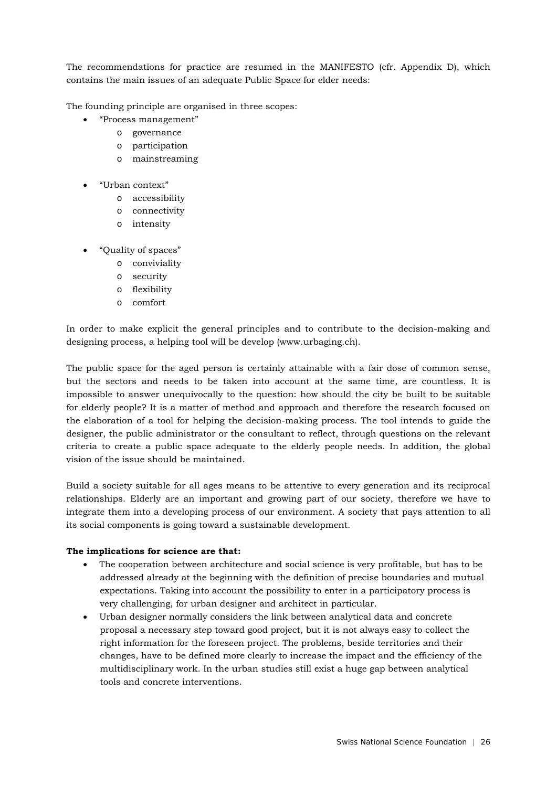The recommendations for practice are resumed in the MANIFESTO (cfr. Appendix D), which contains the main issues of an adequate Public Space for elder needs:

The founding principle are organised in three scopes:

- "Process management"
	- o governance
	- o participation
	- o mainstreaming
- "Urban context"
	- o accessibility
	- o connectivity
	- o intensity
- "Quality of spaces"
	- o conviviality
	- o security
	- o flexibility
	- o comfort

In order to make explicit the general principles and to contribute to the decision-making and designing process, a helping tool will be develop (www.urbaging.ch).

The public space for the aged person is certainly attainable with a fair dose of common sense, but the sectors and needs to be taken into account at the same time, are countless. It is impossible to answer unequivocally to the question: how should the city be built to be suitable for elderly people? It is a matter of method and approach and therefore the research focused on the elaboration of a tool for helping the decision-making process. The tool intends to guide the designer, the public administrator or the consultant to reflect, through questions on the relevant criteria to create a public space adequate to the elderly people needs. In addition, the global vision of the issue should be maintained.

Build a society suitable for all ages means to be attentive to every generation and its reciprocal relationships. Elderly are an important and growing part of our society, therefore we have to integrate them into a developing process of our environment. A society that pays attention to all its social components is going toward a sustainable development.

#### **The implications for science are that:**

- The cooperation between architecture and social science is very profitable, but has to be addressed already at the beginning with the definition of precise boundaries and mutual expectations. Taking into account the possibility to enter in a participatory process is very challenging, for urban designer and architect in particular.
- Urban designer normally considers the link between analytical data and concrete proposal a necessary step toward good project, but it is not always easy to collect the right information for the foreseen project. The problems, beside territories and their changes, have to be defined more clearly to increase the impact and the efficiency of the multidisciplinary work. In the urban studies still exist a huge gap between analytical tools and concrete interventions.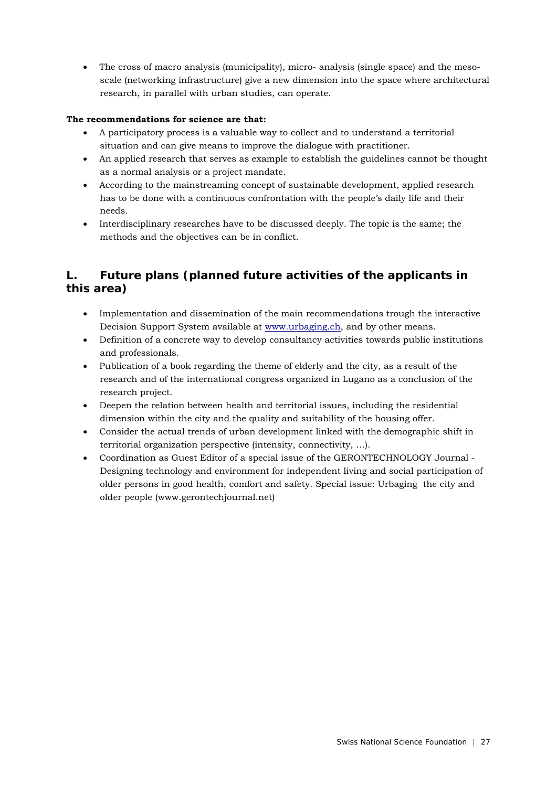• The cross of macro analysis (municipality), micro- analysis (single space) and the mesoscale (networking infrastructure) give a new dimension into the space where architectural research, in parallel with urban studies, can operate.

## **The recommendations for science are that:**

- A participatory process is a valuable way to collect and to understand a territorial situation and can give means to improve the dialogue with practitioner.
- An applied research that serves as example to establish the guidelines cannot be thought as a normal analysis or a project mandate.
- According to the mainstreaming concept of sustainable development, applied research has to be done with a continuous confrontation with the people's daily life and their needs.
- Interdisciplinary researches have to be discussed deeply. The topic is the same; the methods and the objectives can be in conflict.

# **L. Future plans (planned future activities of the applicants in this area)**

- Implementation and dissemination of the main recommendations trough the interactive Decision Support System available at www.urbaging.ch, and by other means.
- Definition of a concrete way to develop consultancy activities towards public institutions and professionals.
- Publication of a book regarding the theme of elderly and the city, as a result of the research and of the international congress organized in Lugano as a conclusion of the research project.
- Deepen the relation between health and territorial issues, including the residential dimension within the city and the quality and suitability of the housing offer.
- Consider the actual trends of urban development linked with the demographic shift in territorial organization perspective (intensity, connectivity, …).
- Coordination as Guest Editor of a special issue of the GERONTECHNOLOGY Journal Designing technology and environment for independent living and social participation of older persons in good health, comfort and safety. Special issue: Urbaging the city and older people (www.gerontechjournal.net)